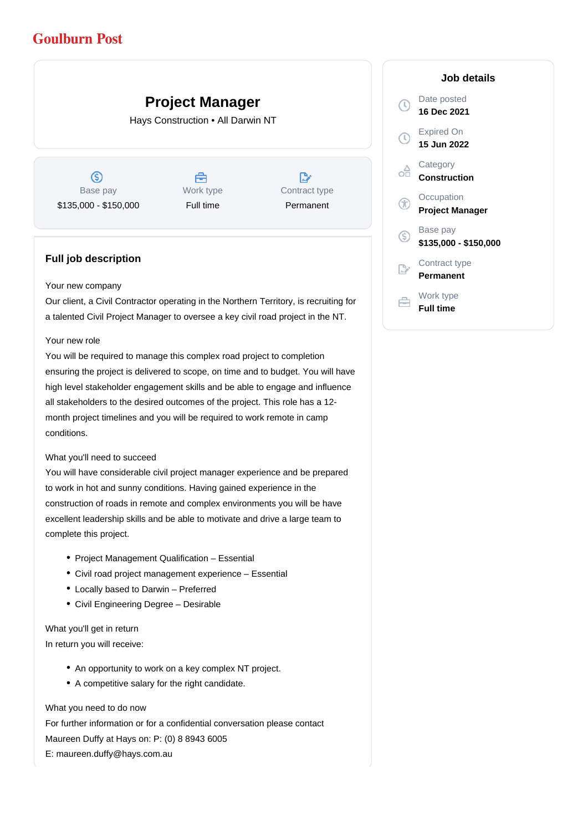## **Goulburn Post**

# **Project Manager**

Hays Construction • All Darwin NT

 $\circledS$ Base pay \$135,000 - \$150,000

Å Work type Full time

 $\mathbb{R}^{\circ}$ Contract type Permanent

### **Full job description**

#### Your new company

Our client, a Civil Contractor operating in the Northern Territory, is recruiting for a talented Civil Project Manager to oversee a key civil road project in the NT.

#### Your new role

You will be required to manage this complex road project to completion ensuring the project is delivered to scope, on time and to budget. You will have high level stakeholder engagement skills and be able to engage and influence all stakeholders to the desired outcomes of the project. This role has a 12 month project timelines and you will be required to work remote in camp conditions.

#### What you'll need to succeed

You will have considerable civil project manager experience and be prepared to work in hot and sunny conditions. Having gained experience in the construction of roads in remote and complex environments you will be have excellent leadership skills and be able to motivate and drive a large team to complete this project.

- Project Management Qualification Essential
- Civil road project management experience Essential
- Locally based to Darwin Preferred
- Civil Engineering Degree Desirable

What you'll get in return In return you will receive:

- An opportunity to work on a key complex NT project.
- A competitive salary for the right candidate.

What you need to do now For further information or for a confidential conversation please contact Maureen Duffy at Hays on: P: (0) 8 8943 6005 E: maureen.duffy@hays.com.au

#### **Job details**